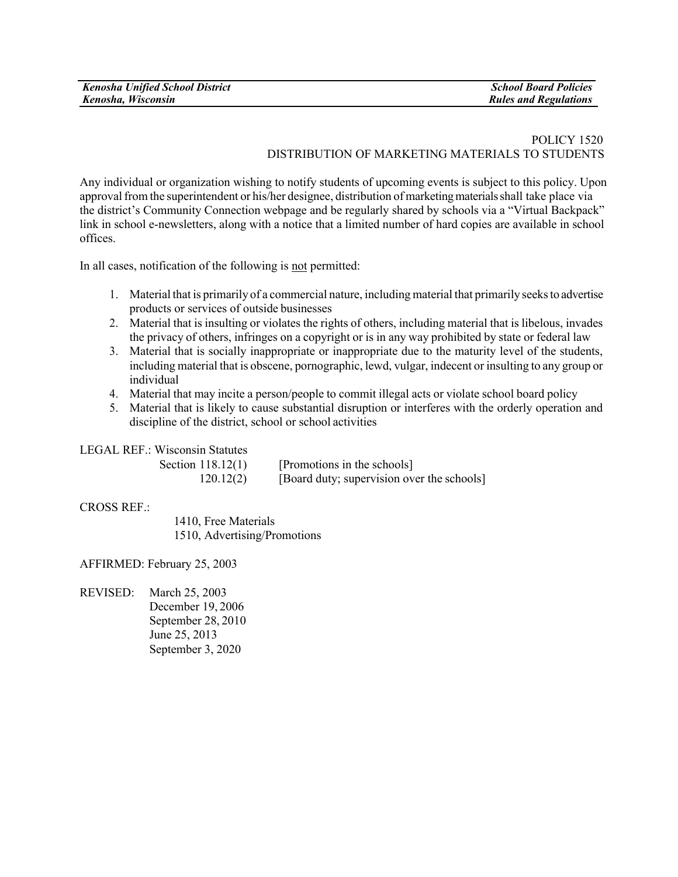## POLICY 1520 DISTRIBUTION OF MARKETING MATERIALS TO STUDENTS

Any individual or organization wishing to notify students of upcoming events is subject to this policy. Upon approval from the superintendent or his/her designee, distribution of marketing materials shall take place via the district's Community Connection webpage and be regularly shared by schools via a "Virtual Backpack" link in school e-newsletters, along with a notice that a limited number of hard copies are available in school offices.

In all cases, notification of the following is not permitted:

- 1. Material that is primarily of a commercial nature, including material that primarily seeksto advertise products or services of outside businesses
- 2. Material that is insulting or violates the rights of others, including material that is libelous, invades the privacy of others, infringes on a copyright or is in any way prohibited by state or federal law
- 3. Material that is socially inappropriate or inappropriate due to the maturity level of the students, including material that is obscene, pornographic, lewd, vulgar, indecent or insulting to any group or individual
- 4. Material that may incite a person/people to commit illegal acts or violate school board policy
- 5. Material that is likely to cause substantial disruption or interferes with the orderly operation and discipline of the district, school or school activities

LEGAL REF.: Wisconsin Statutes

| Section 118.12(1) | [Promotions in the schools]                |
|-------------------|--------------------------------------------|
| 120.12(2)         | [Board duty; supervision over the schools] |

## CROSS REF.:

1410, Free Materials 1510, Advertising/Promotions

AFFIRMED: February 25, 2003

REVISED: March 25, 2003 December 19, 2006 September 28, 2010 June 25, 2013 September 3, 2020